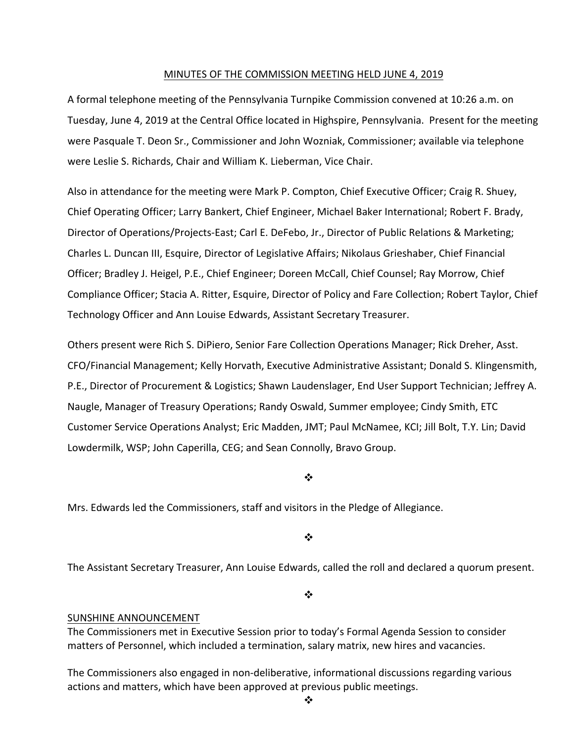#### MINUTES OF THE COMMISSION MEETING HELD JUNE 4, 2019

A formal telephone meeting of the Pennsylvania Turnpike Commission convened at 10:26 a.m. on Tuesday, June 4, 2019 at the Central Office located in Highspire, Pennsylvania. Present for the meeting were Pasquale T. Deon Sr., Commissioner and John Wozniak, Commissioner; available via telephone were Leslie S. Richards, Chair and William K. Lieberman, Vice Chair.

Also in attendance for the meeting were Mark P. Compton, Chief Executive Officer; Craig R. Shuey, Chief Operating Officer; Larry Bankert, Chief Engineer, Michael Baker International; Robert F. Brady, Director of Operations/Projects‐East; Carl E. DeFebo, Jr., Director of Public Relations & Marketing; Charles L. Duncan III, Esquire, Director of Legislative Affairs; Nikolaus Grieshaber, Chief Financial Officer; Bradley J. Heigel, P.E., Chief Engineer; Doreen McCall, Chief Counsel; Ray Morrow, Chief Compliance Officer; Stacia A. Ritter, Esquire, Director of Policy and Fare Collection; Robert Taylor, Chief Technology Officer and Ann Louise Edwards, Assistant Secretary Treasurer.

Others present were Rich S. DiPiero, Senior Fare Collection Operations Manager; Rick Dreher, Asst. CFO/Financial Management; Kelly Horvath, Executive Administrative Assistant; Donald S. Klingensmith, P.E., Director of Procurement & Logistics; Shawn Laudenslager, End User Support Technician; Jeffrey A. Naugle, Manager of Treasury Operations; Randy Oswald, Summer employee; Cindy Smith, ETC Customer Service Operations Analyst; Eric Madden, JMT; Paul McNamee, KCI; Jill Bolt, T.Y. Lin; David Lowdermilk, WSP; John Caperilla, CEG; and Sean Connolly, Bravo Group.

#### ❖

Mrs. Edwards led the Commissioners, staff and visitors in the Pledge of Allegiance.

#### ❖

The Assistant Secretary Treasurer, Ann Louise Edwards, called the roll and declared a quorum present.

❖

#### SUNSHINE ANNOUNCEMENT

The Commissioners met in Executive Session prior to today's Formal Agenda Session to consider matters of Personnel, which included a termination, salary matrix, new hires and vacancies.

The Commissioners also engaged in non‐deliberative, informational discussions regarding various actions and matters, which have been approved at previous public meetings.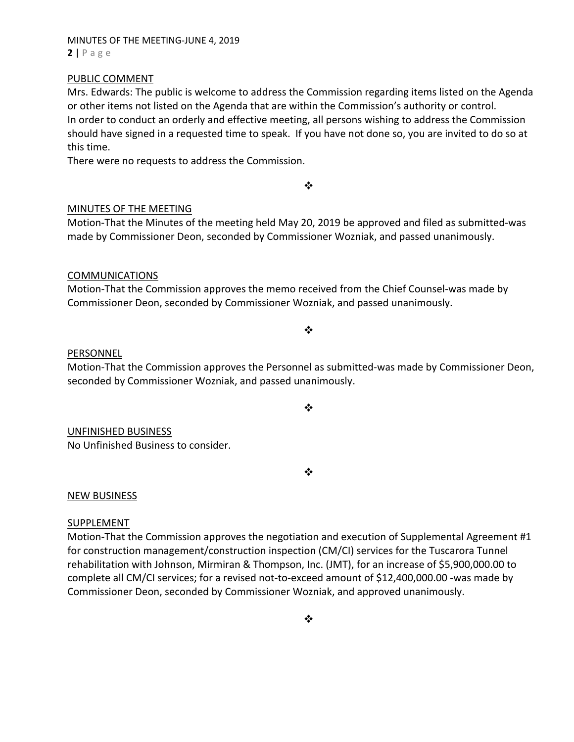# MINUTES OF THE MEETING‐JUNE 4, 2019 **2** | Page

#### PUBLIC COMMENT

Mrs. Edwards: The public is welcome to address the Commission regarding items listed on the Agenda or other items not listed on the Agenda that are within the Commission's authority or control. In order to conduct an orderly and effective meeting, all persons wishing to address the Commission should have signed in a requested time to speak. If you have not done so, you are invited to do so at this time.

There were no requests to address the Commission.

## MINUTES OF THE MEETING

Motion‐That the Minutes of the meeting held May 20, 2019 be approved and filed as submitted‐was made by Commissioner Deon, seconded by Commissioner Wozniak, and passed unanimously.

 $\bullet^{\bullet}_{\bullet} \bullet$ 

## COMMUNICATIONS

Motion‐That the Commission approves the memo received from the Chief Counsel‐was made by Commissioner Deon, seconded by Commissioner Wozniak, and passed unanimously.

#### $\bullet^{\bullet}_{\bullet} \bullet$

#### PERSONNEL

Motion‐That the Commission approves the Personnel as submitted‐was made by Commissioner Deon, seconded by Commissioner Wozniak, and passed unanimously.

 $\cdot$ 

# UNFINISHED BUSINESS

No Unfinished Business to consider.

❖

# NEW BUSINESS

#### SUPPLEMENT

Motion-That the Commission approves the negotiation and execution of Supplemental Agreement #1 for construction management/construction inspection (CM/CI) services for the Tuscarora Tunnel rehabilitation with Johnson, Mirmiran & Thompson, Inc. (JMT), for an increase of \$5,900,000.00 to complete all CM/CI services; for a revised not-to-exceed amount of \$12,400,000.00 -was made by Commissioner Deon, seconded by Commissioner Wozniak, and approved unanimously.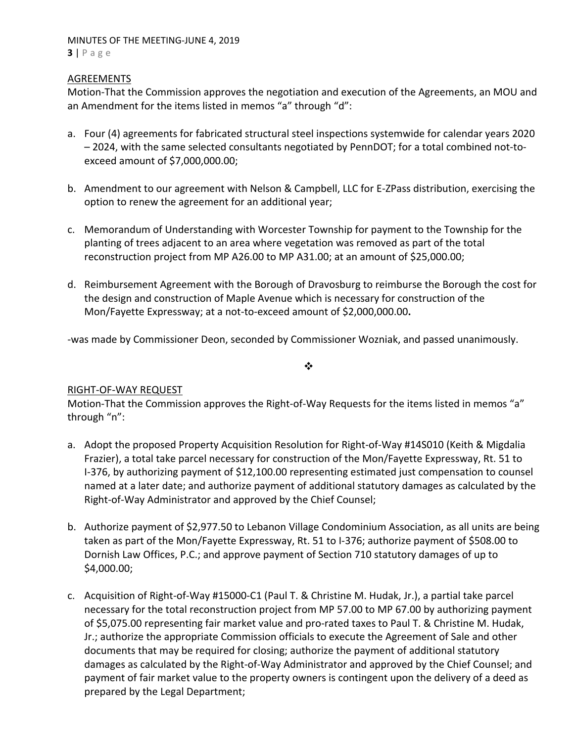## MINUTES OF THE MEETING‐JUNE 4, 2019 **3** | Page

# **AGREEMENTS**

Motion‐That the Commission approves the negotiation and execution of the Agreements, an MOU and an Amendment for the items listed in memos "a" through "d":

- a. Four (4) agreements for fabricated structural steel inspections systemwide for calendar years 2020 – 2024, with the same selected consultants negotiated by PennDOT; for a total combined not‐to‐ exceed amount of \$7,000,000.00;
- b. Amendment to our agreement with Nelson & Campbell, LLC for E‐ZPass distribution, exercising the option to renew the agreement for an additional year;
- c. Memorandum of Understanding with Worcester Township for payment to the Township for the planting of trees adjacent to an area where vegetation was removed as part of the total reconstruction project from MP A26.00 to MP A31.00; at an amount of \$25,000.00;
- d. Reimbursement Agreement with the Borough of Dravosburg to reimburse the Borough the cost for the design and construction of Maple Avenue which is necessary for construction of the Mon/Fayette Expressway; at a not‐to‐exceed amount of \$2,000,000.00**.**

‐was made by Commissioner Deon, seconded by Commissioner Wozniak, and passed unanimously.

 $\frac{1}{2}$ 

# RIGHT‐OF‐WAY REQUEST

Motion-That the Commission approves the Right-of-Way Requests for the items listed in memos "a" through "n":

- a. Adopt the proposed Property Acquisition Resolution for Right‐of‐Way #14S010 (Keith & Migdalia Frazier), a total take parcel necessary for construction of the Mon/Fayette Expressway, Rt. 51 to I‐376, by authorizing payment of \$12,100.00 representing estimated just compensation to counsel named at a later date; and authorize payment of additional statutory damages as calculated by the Right‐of‐Way Administrator and approved by the Chief Counsel;
- b. Authorize payment of \$2,977.50 to Lebanon Village Condominium Association, as all units are being taken as part of the Mon/Fayette Expressway, Rt. 51 to I‐376; authorize payment of \$508.00 to Dornish Law Offices, P.C.; and approve payment of Section 710 statutory damages of up to \$4,000.00;
- c. Acquisition of Right‐of‐Way #15000‐C1 (Paul T. & Christine M. Hudak, Jr.), a partial take parcel necessary for the total reconstruction project from MP 57.00 to MP 67.00 by authorizing payment of \$5,075.00 representing fair market value and pro-rated taxes to Paul T. & Christine M. Hudak, Jr.; authorize the appropriate Commission officials to execute the Agreement of Sale and other documents that may be required for closing; authorize the payment of additional statutory damages as calculated by the Right‐of‐Way Administrator and approved by the Chief Counsel; and payment of fair market value to the property owners is contingent upon the delivery of a deed as prepared by the Legal Department;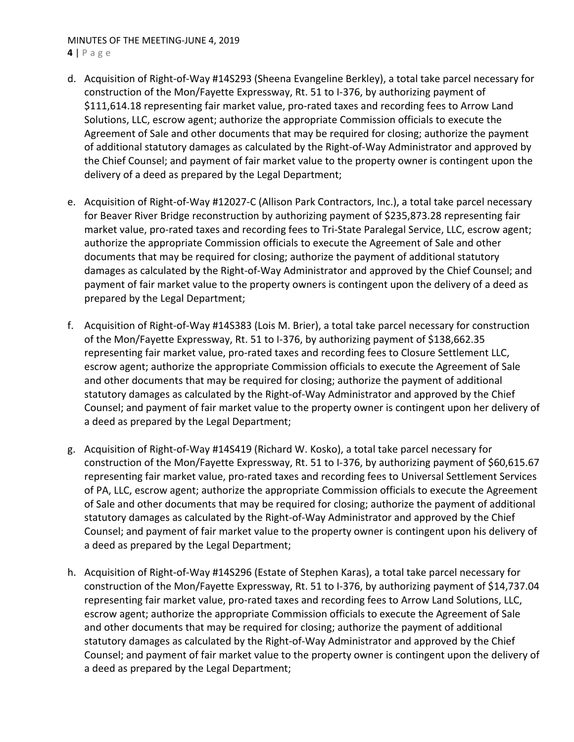# MINUTES OF THE MEETING‐JUNE 4, 2019

**4** | Page

- d. Acquisition of Right‐of‐Way #14S293 (Sheena Evangeline Berkley), a total take parcel necessary for construction of the Mon/Fayette Expressway, Rt. 51 to I‐376, by authorizing payment of \$111,614.18 representing fair market value, pro‐rated taxes and recording fees to Arrow Land Solutions, LLC, escrow agent; authorize the appropriate Commission officials to execute the Agreement of Sale and other documents that may be required for closing; authorize the payment of additional statutory damages as calculated by the Right‐of‐Way Administrator and approved by the Chief Counsel; and payment of fair market value to the property owner is contingent upon the delivery of a deed as prepared by the Legal Department;
- e. Acquisition of Right‐of‐Way #12027‐C (Allison Park Contractors, Inc.), a total take parcel necessary for Beaver River Bridge reconstruction by authorizing payment of \$235,873.28 representing fair market value, pro‐rated taxes and recording fees to Tri‐State Paralegal Service, LLC, escrow agent; authorize the appropriate Commission officials to execute the Agreement of Sale and other documents that may be required for closing; authorize the payment of additional statutory damages as calculated by the Right‐of‐Way Administrator and approved by the Chief Counsel; and payment of fair market value to the property owners is contingent upon the delivery of a deed as prepared by the Legal Department;
- f. Acquisition of Right‐of‐Way #14S383 (Lois M. Brier), a total take parcel necessary for construction of the Mon/Fayette Expressway, Rt. 51 to I‐376, by authorizing payment of \$138,662.35 representing fair market value, pro‐rated taxes and recording fees to Closure Settlement LLC, escrow agent; authorize the appropriate Commission officials to execute the Agreement of Sale and other documents that may be required for closing; authorize the payment of additional statutory damages as calculated by the Right‐of‐Way Administrator and approved by the Chief Counsel; and payment of fair market value to the property owner is contingent upon her delivery of a deed as prepared by the Legal Department;
- g. Acquisition of Right‐of‐Way #14S419 (Richard W. Kosko), a total take parcel necessary for construction of the Mon/Fayette Expressway, Rt. 51 to I‐376, by authorizing payment of \$60,615.67 representing fair market value, pro-rated taxes and recording fees to Universal Settlement Services of PA, LLC, escrow agent; authorize the appropriate Commission officials to execute the Agreement of Sale and other documents that may be required for closing; authorize the payment of additional statutory damages as calculated by the Right‐of‐Way Administrator and approved by the Chief Counsel; and payment of fair market value to the property owner is contingent upon his delivery of a deed as prepared by the Legal Department;
- h. Acquisition of Right-of-Way #14S296 (Estate of Stephen Karas), a total take parcel necessary for construction of the Mon/Fayette Expressway, Rt. 51 to I‐376, by authorizing payment of \$14,737.04 representing fair market value, pro-rated taxes and recording fees to Arrow Land Solutions, LLC, escrow agent; authorize the appropriate Commission officials to execute the Agreement of Sale and other documents that may be required for closing; authorize the payment of additional statutory damages as calculated by the Right‐of‐Way Administrator and approved by the Chief Counsel; and payment of fair market value to the property owner is contingent upon the delivery of a deed as prepared by the Legal Department;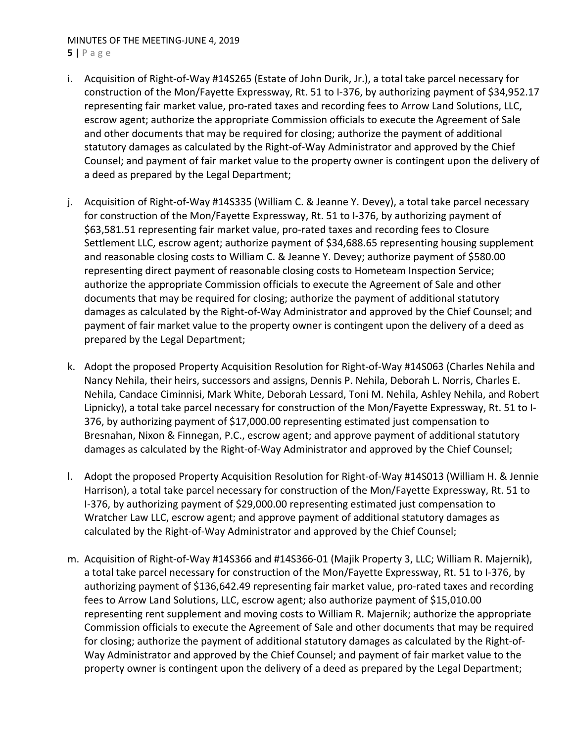# MINUTES OF THE MEETING‐JUNE 4, 2019

**5** | Page

- i. Acquisition of Right‐of‐Way #14S265 (Estate of John Durik, Jr.), a total take parcel necessary for construction of the Mon/Fayette Expressway, Rt. 51 to I‐376, by authorizing payment of \$34,952.17 representing fair market value, pro‐rated taxes and recording fees to Arrow Land Solutions, LLC, escrow agent; authorize the appropriate Commission officials to execute the Agreement of Sale and other documents that may be required for closing; authorize the payment of additional statutory damages as calculated by the Right‐of‐Way Administrator and approved by the Chief Counsel; and payment of fair market value to the property owner is contingent upon the delivery of a deed as prepared by the Legal Department;
- j. Acquisition of Right-of-Way #14S335 (William C. & Jeanne Y. Devey), a total take parcel necessary for construction of the Mon/Fayette Expressway, Rt. 51 to I‐376, by authorizing payment of \$63,581.51 representing fair market value, pro-rated taxes and recording fees to Closure Settlement LLC, escrow agent; authorize payment of \$34,688.65 representing housing supplement and reasonable closing costs to William C. & Jeanne Y. Devey; authorize payment of \$580.00 representing direct payment of reasonable closing costs to Hometeam Inspection Service; authorize the appropriate Commission officials to execute the Agreement of Sale and other documents that may be required for closing; authorize the payment of additional statutory damages as calculated by the Right‐of‐Way Administrator and approved by the Chief Counsel; and payment of fair market value to the property owner is contingent upon the delivery of a deed as prepared by the Legal Department;
- k. Adopt the proposed Property Acquisition Resolution for Right‐of‐Way #14S063 (Charles Nehila and Nancy Nehila, their heirs, successors and assigns, Dennis P. Nehila, Deborah L. Norris, Charles E. Nehila, Candace Ciminnisi, Mark White, Deborah Lessard, Toni M. Nehila, Ashley Nehila, and Robert Lipnicky), a total take parcel necessary for construction of the Mon/Fayette Expressway, Rt. 51 to I‐ 376, by authorizing payment of \$17,000.00 representing estimated just compensation to Bresnahan, Nixon & Finnegan, P.C., escrow agent; and approve payment of additional statutory damages as calculated by the Right‐of‐Way Administrator and approved by the Chief Counsel;
- l. Adopt the proposed Property Acquisition Resolution for Right‐of‐Way #14S013 (William H. & Jennie Harrison), a total take parcel necessary for construction of the Mon/Fayette Expressway, Rt. 51 to I‐376, by authorizing payment of \$29,000.00 representing estimated just compensation to Wratcher Law LLC, escrow agent; and approve payment of additional statutory damages as calculated by the Right‐of‐Way Administrator and approved by the Chief Counsel;
- m. Acquisition of Right‐of‐Way #14S366 and #14S366‐01 (Majik Property 3, LLC; William R. Majernik), a total take parcel necessary for construction of the Mon/Fayette Expressway, Rt. 51 to I‐376, by authorizing payment of \$136,642.49 representing fair market value, pro‐rated taxes and recording fees to Arrow Land Solutions, LLC, escrow agent; also authorize payment of \$15,010.00 representing rent supplement and moving costs to William R. Majernik; authorize the appropriate Commission officials to execute the Agreement of Sale and other documents that may be required for closing; authorize the payment of additional statutory damages as calculated by the Right‐of‐ Way Administrator and approved by the Chief Counsel; and payment of fair market value to the property owner is contingent upon the delivery of a deed as prepared by the Legal Department;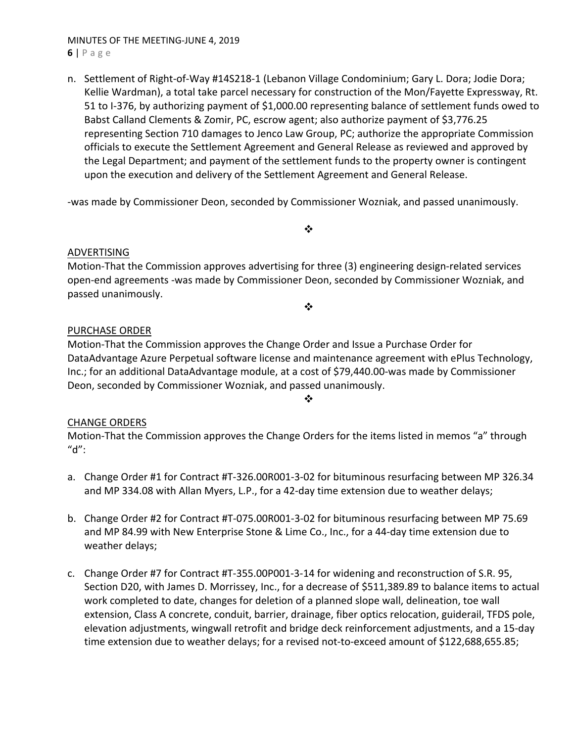#### MINUTES OF THE MEETING‐JUNE 4, 2019 **6** | Page

n. Settlement of Right-of-Way #14S218-1 (Lebanon Village Condominium; Gary L. Dora; Jodie Dora; Kellie Wardman), a total take parcel necessary for construction of the Mon/Fayette Expressway, Rt. 51 to I-376, by authorizing payment of \$1,000.00 representing balance of settlement funds owed to Babst Calland Clements & Zomir, PC, escrow agent; also authorize payment of \$3,776.25 representing Section 710 damages to Jenco Law Group, PC; authorize the appropriate Commission officials to execute the Settlement Agreement and General Release as reviewed and approved by the Legal Department; and payment of the settlement funds to the property owner is contingent upon the execution and delivery of the Settlement Agreement and General Release.

‐was made by Commissioner Deon, seconded by Commissioner Wozniak, and passed unanimously.

 $\bullet^{\bullet}_{\bullet} \bullet$ 

❖

## ADVERTISING

Motion-That the Commission approves advertising for three (3) engineering design-related services open‐end agreements ‐was made by Commissioner Deon, seconded by Commissioner Wozniak, and passed unanimously.

## PURCHASE ORDER

Motion‐That the Commission approves the Change Order and Issue a Purchase Order for DataAdvantage Azure Perpetual software license and maintenance agreement with ePlus Technology, Inc.; for an additional DataAdvantage module, at a cost of \$79,440.00‐was made by Commissioner Deon, seconded by Commissioner Wozniak, and passed unanimously.

❖

# CHANGE ORDERS

Motion‐That the Commission approves the Change Orders for the items listed in memos "a" through  $"d"$ :

- a. Change Order #1 for Contract #T-326.00R001-3-02 for bituminous resurfacing between MP 326.34 and MP 334.08 with Allan Myers, L.P., for a 42‐day time extension due to weather delays;
- b. Change Order #2 for Contract #T‐075.00R001‐3‐02 for bituminous resurfacing between MP 75.69 and MP 84.99 with New Enterprise Stone & Lime Co., Inc., for a 44‐day time extension due to weather delays;
- c. Change Order #7 for Contract #T‐355.00P001‐3‐14 for widening and reconstruction of S.R. 95, Section D20, with James D. Morrissey, Inc., for a decrease of \$511,389.89 to balance items to actual work completed to date, changes for deletion of a planned slope wall, delineation, toe wall extension, Class A concrete, conduit, barrier, drainage, fiber optics relocation, guiderail, TFDS pole, elevation adjustments, wingwall retrofit and bridge deck reinforcement adjustments, and a 15‐day time extension due to weather delays; for a revised not‐to‐exceed amount of \$122,688,655.85;